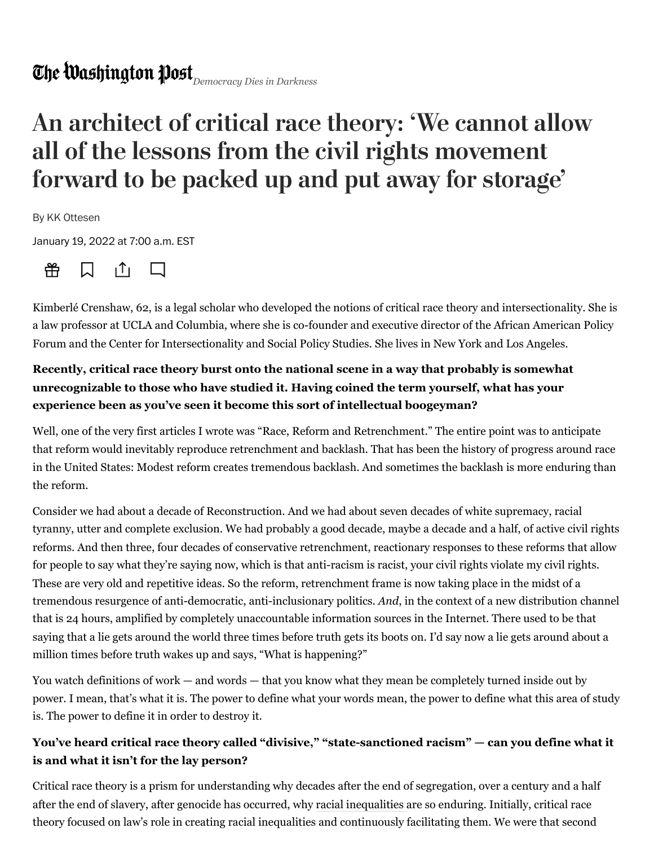# An architect of critical race theory: 'We cannot allow all of the lessons from the civil rights movement forward to be packed up and put away for storage'

By KK Ottesen

January 19, 2022 at 7:00 a.m. EST



Kimberlé Crenshaw, 62, is a legal scholar who developed the notions of critical race theory and intersectionality. She is a law professor at UCLA and Columbia, where she is co-founder and executive director of the African American Policy Forum and the Center for Intersectionality and Social Policy Studies. She lives in New York and Los Angeles.

# **Recently, critical race theory burst onto the national scene in a way that probably is somewhat unrecognizable to those who have studied it. Having coined the term yourself, what has your experience been as you've seen it become this sort of intellectual boogeyman?**

Well, one of the very first articles I wrote was "Race, Reform and Retrenchment." The entire point was to anticipate that reform would inevitably reproduce retrenchment and backlash. That has been the history of progress around race in the United States: Modest reform creates tremendous backlash. And sometimes the backlash is more enduring than the reform.

Consider we had about a decade of Reconstruction. And we had about seven decades of white supremacy, racial tyranny, utter and complete exclusion. We had probably a good decade, maybe a decade and a half, of active civil rights reforms. And then three, four decades of conservative retrenchment, reactionary responses to these reforms that allow for people to say what they're saying now, which is that anti-racism is racist, your civil rights violate my civil rights. These are very old and repetitive ideas. So the reform, retrenchment frame is now taking place in the midst of a tremendous resurgence of anti-democratic, anti-inclusionary politics. *And*, in the context of a new distribution channel that is 24 hours, amplified by completely unaccountable information sources in the Internet. There used to be that saying that a lie gets around the world three times before truth gets its boots on. I'd say now a lie gets around about a million times before truth wakes up and says, "What is happening?"

You watch definitions of work — and words — that you know what they mean be completely turned inside out by power. I mean, that's what it is. The power to define what your words mean, the power to define what this area of study is. The power to define it in order to destroy it.

# **You've heard critical race theory called "divisive," "state-sanctioned racism" — can you define what it is and what it isn't for the lay person?**

Critical race theory is a prism for understanding why decades after the end of segregation, over a century and a half after the end of slavery, after genocide has occurred, why [racial inequalities a](https://www.washingtonpost.com/magazine/interactive/2022/assimilation-chinese-names-asian-racism/?itid=lk_inline_manual_12)re so enduring. Initially, critical race theory focused on law's role in creating racial inequalities and continuously facilitating them. We were that second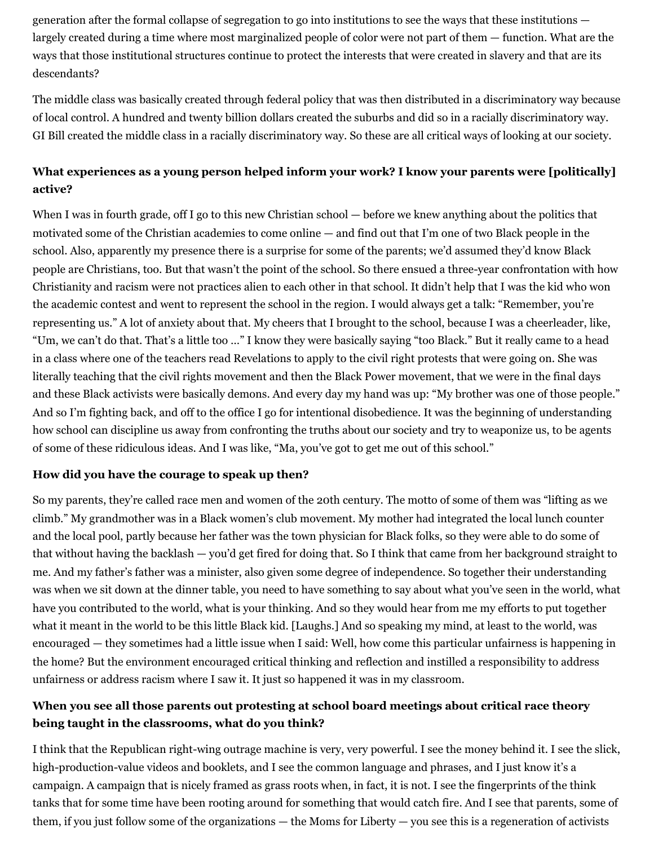generation after the formal collapse of segregation to go into institutions to see the ways that these institutions largely created during a time where most marginalized people of color were not part of them — function. What are the ways that those institutional structures continue to protect the interests that were created in slavery and that are its descendants?

The middle class was basically created through federal policy that was then distributed in a discriminatory way because of local control. A hundred and twenty billion dollars created the suburbs and did so in a racially discriminatory way. GI Bill created the middle class in a racially discriminatory way. So these are all critical ways of looking at our society.

## **What experiences as a young person helped inform your work? I know your parents were [politically] active?**

When I was in fourth grade, off I go to this new Christian school — before we knew anything about the politics that motivated some of the Christian academies to come online — and find out that I'm one of two Black people in the school. Also, apparently my presence there is a surprise for some of the parents; we'd assumed they'd know Black people are Christians, too. But that wasn't the point of the school. So there ensued a three-year confrontation with how Christianity and racism were not practices alien to each other in that school. It didn't help that I was the kid who won the academic contest and went to represent the school in the region. I would always get a talk: "Remember, you're representing us." A lot of anxiety about that. My cheers that I brought to the school, because I was a cheerleader, like, "Um, we can't do that. That's a little too …" I know they were basically saying "too Black." But it really came to a head in a class where one of the teachers read Revelations to apply to the civil right protests that were going on. She was literally teaching that the civil rights movement and then the Black Power movement, that we were in the final days and these Black activists were basically demons. And every day my hand was up: "My brother was one of those people." And so I'm fighting back, and off to the office I go for intentional disobedience. It was the beginning of understanding how school can discipline us away from confronting the truths about our society and try to weaponize us, to be agents of some of these ridiculous ideas. And I was like, "Ma, you've got to get me out of this school."

#### **How did you have the courage to speak up then?**

So my parents, they're called race men and women of the 20th century. The motto of some of them was "lifting as we climb." My grandmother was in a Black women's club movement. My mother had integrated the local lunch counter and the local pool, partly because her father was the town physician for Black folks, so they were able to do some of that without having the backlash — you'd get fired for doing that. So I think that came from her background straight to me. And my father's father was a minister, also given some degree of independence. So together their understanding was when we sit down at the dinner table, you need to have something to say about what you've seen in the world, what have you contributed to the world, what is your thinking. And so they would hear from me my efforts to put together what it meant in the world to be this little Black kid. [Laughs.] And so speaking my mind, at least to the world, was encouraged — they sometimes had a little issue when I said: Well, how come this particular unfairness is happening in the home? But the environment encouraged critical thinking and reflection and instilled a responsibility to address unfairness or address racism where I saw it. It just so happened it was in my classroom.

### **When you see all those parents out protesting at school board meetings about critical race theory being taught in the classrooms, what do you think?**

I think that the Republican right-wing outrage machine is very, very powerful. I see the money behind it. I see the slick, high-production-value videos and booklets, and I see the common language and phrases, and I just know it's a campaign. A campaign that is nicely framed as grass roots when, in fact, it is not. I see the fingerprints of the think tanks that for some time have been rooting around for something that would catch fire. And I see that parents, some of them, if you just follow some of the organizations  $-$  the Moms for Liberty  $-$  you see this is a regeneration of activists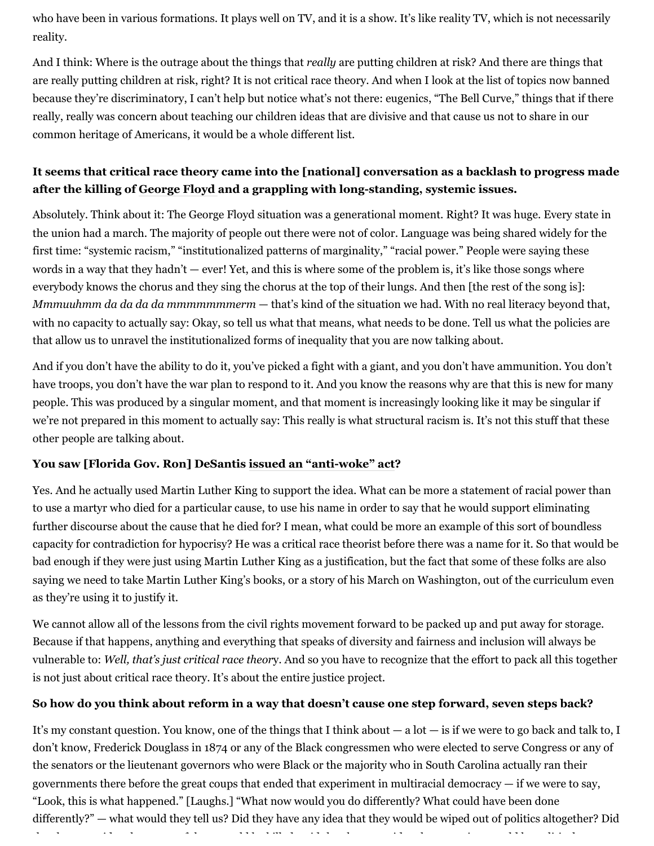who have been in various formations. It plays well on TV, and it is a show. It's like reality TV, which is not necessarily reality.

And I think: Where is the outrage about the things that *really* are putting children at risk? And there are things that are really putting children at risk, right? It is not critical race theory. And when I look at the list of topics now banned because they're discriminatory, I can't help but notice what's not there: eugenics, "The Bell Curve," things that if there really, really was concern about teaching our children ideas that are divisive and that cause us not to share in our common heritage of Americans, it would be a whole different list.

## **It seems that critical race theory came into the [national] conversation as a backlash to progress made after the killing of [George Floyd](https://www.washingtonpost.com/graphics/2020/lifestyle/magazine/the-endless-call-for-racial-equity-and-justice-in-photos-and-quotes/?itid=lk_inline_manual_28) and a grappling with long-standing, systemic issues.**

Absolutely. Think about it: The George Floyd situation was a generational moment. Right? It was huge. Every state in the union had a march. The majority of people out there were not of color. Language was being shared widely for the first time: "systemic racism," "institutionalized patterns of marginality," "racial power." People were saying these words in a way that they hadn't — ever! Yet, and this is where some of the problem is, it's like those songs where everybody knows the chorus and they sing the chorus at the top of their lungs. And then [the rest of the song is]: *Mmmuuhmm da da da da mmmmmmmerm* — that's kind of the situation we had. With no real literacy beyond that, with no capacity to actually say: Okay, so tell us what that means, what needs to be done. Tell us what the policies are that allow us to unravel the institutionalized forms of inequality that you are now talking about.

And if you don't have the ability to do it, you've picked a fight with a giant, and you don't have ammunition. You don't have troops, you don't have the war plan to respond to it. And you know the reasons why are that this is new for many people. This was produced by a singular moment, and that moment is increasingly looking like it may be singular if we're not prepared in this moment to actually say: This really is what structural racism is. It's not this stuff that these other people are talking about.

#### **You saw [Florida Gov. Ron] DeSantis [issued an "anti-woke" act?](https://www.washingtonpost.com/politics/2021/12/15/desantis-stop-woke-act-mlk-crt/?itid=lk_inline_manual_33)**

Yes. And he actually used Martin Luther King to support the idea. What can be more a statement of racial power than to use a martyr who died for a particular cause, to use his name in order to say that he would support eliminating further discourse about the cause that he died for? I mean, what could be more an example of this sort of boundless capacity for contradiction for hypocrisy? He was a critical race theorist before there was a name for it. So that would be bad enough if they were just using Martin Luther King as a justification, but the fact that some of these folks are also saying we need to take Martin Luther King's books, or a story of his March on Washington, out of the curriculum even as they're using it to justify it.

We cannot allow all of the lessons from the civil rights movement forward to be packed up and put away for storage. Because if that happens, anything and everything that speaks of diversity and fairness and inclusion will always be vulnerable to: *Well, that's just critical race theor*y. And so you have to recognize that the effort to pack all this together is not just about critical race theory. It's about the entire justice project.

#### **So how do you think about reform in a way that doesn't cause one step forward, seven steps back?**

It's my constant question. You know, one of the things that I think about — a lot — is if we were to go back and talk to, I don't know, Frederick Douglass in 1874 or any of the Black congressmen who were elected to serve Congress or any of the senators or the lieutenant governors who were Black or the majority who in South Carolina actually ran their governments there before the great coups that ended that experiment in multiracial democracy  $-$  if we were to say, "Look, this is what happened." [Laughs.] "What now would you do differently? What could have been done differently?" — what would they tell us? Did they have any idea that they would be wiped out of politics altogether? Did h h id h f h ld b kill d id h h id h i ld b li i l